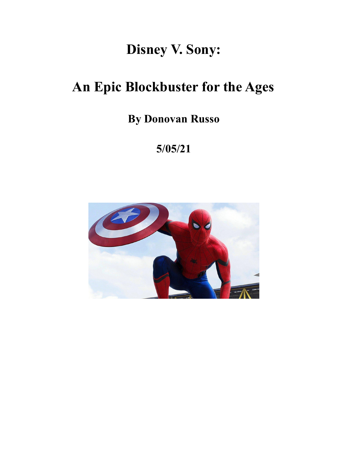# **Disney V. Sony:**

# **An Epic Blockbuster for the Ages**

**By Donovan Russo**

**5/05/21**

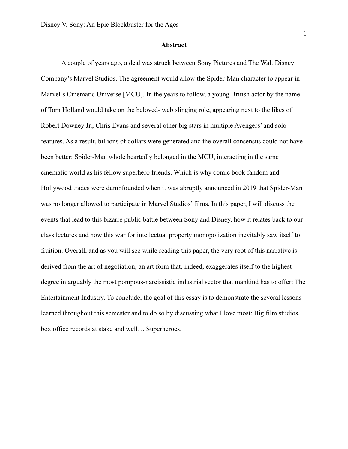#### **Abstract**

A couple of years ago, a deal was struck between Sony Pictures and The Walt Disney Company's Marvel Studios. The agreement would allow the Spider-Man character to appear in Marvel's Cinematic Universe [MCU]. In the years to follow, a young British actor by the name of Tom Holland would take on the beloved- web slinging role, appearing next to the likes of Robert Downey Jr., Chris Evans and several other big stars in multiple Avengers' and solo features. As a result, billions of dollars were generated and the overall consensus could not have been better: Spider-Man whole heartedly belonged in the MCU, interacting in the same cinematic world as his fellow superhero friends. Which is why comic book fandom and Hollywood trades were dumbfounded when it was abruptly announced in 2019 that Spider-Man was no longer allowed to participate in Marvel Studios' films. In this paper, I will discuss the events that lead to this bizarre public battle between Sony and Disney, how it relates back to our class lectures and how this war for intellectual property monopolization inevitably saw itself to fruition. Overall, and as you will see while reading this paper, the very root of this narrative is derived from the art of negotiation; an art form that, indeed, exaggerates itself to the highest degree in arguably the most pompous-narcissistic industrial sector that mankind has to offer: The Entertainment Industry. To conclude, the goal of this essay is to demonstrate the several lessons learned throughout this semester and to do so by discussing what I love most: Big film studios, box office records at stake and well… Superheroes.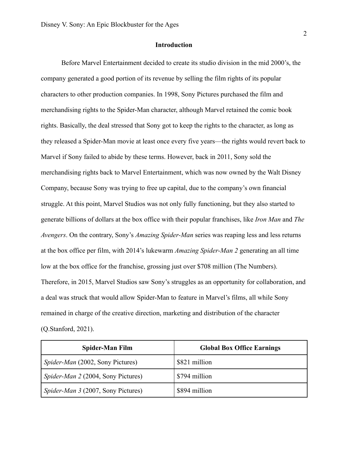## **Introduction**

Before Marvel Entertainment decided to create its studio division in the mid 2000's, the company generated a good portion of its revenue by selling the film rights of its popular characters to other production companies. In 1998, Sony Pictures purchased the film and merchandising rights to the Spider-Man character, although Marvel retained the comic book rights. Basically, the deal stressed that Sony got to keep the rights to the character, as long as they released a Spider-Man movie at least once every five years—the rights would revert back to Marvel if Sony failed to abide by these terms. However, back in 2011, Sony sold the merchandising rights back to Marvel Entertainment, which was now owned by the Walt Disney Company, because Sony was trying to free up capital, due to the company's own financial struggle. At this point, Marvel Studios was not only fully functioning, but they also started to generate billions of dollars at the box office with their popular franchises, like *Iron Man* and *The Avengers*. On the contrary, Sony's *Amazing Spider-Man* series was reaping less and less returns at the box office per film, with 2014's lukewarm *Amazing Spider-Man 2* generating an all time low at the box office for the franchise, grossing just over \$708 million (The Numbers). Therefore, in 2015, Marvel Studios saw Sony's struggles as an opportunity for collaboration, and a deal was struck that would allow Spider-Man to feature in Marvel's films, all while Sony remained in charge of the creative direction, marketing and distribution of the character (Q.Stanford, 2021).

| Spider-Man Film                           | <b>Global Box Office Earnings</b> |
|-------------------------------------------|-----------------------------------|
| <i>Spider-Man</i> (2002, Sony Pictures)   | \$821 million                     |
| <i>Spider-Man 2 (2004, Sony Pictures)</i> | \$794 million                     |
| <i>Spider-Man 3 (2007, Sony Pictures)</i> | \$894 million                     |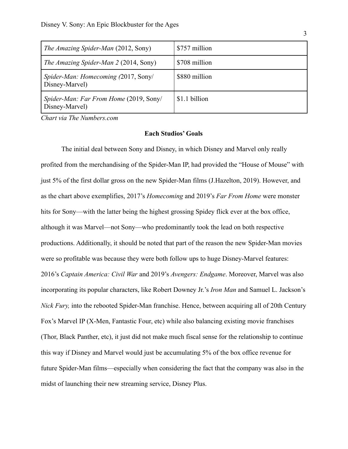| <i>The Amazing Spider-Man (2012, Sony)</i>                      | \$757 million |
|-----------------------------------------------------------------|---------------|
| <i>The Amazing Spider-Man 2 (2014, Sony)</i>                    | \$708 million |
| Spider-Man: Homecoming (2017, Sony/<br>Disney-Marvel)           | \$880 million |
| <i>Spider-Man: Far From Home (2019, Sony/</i><br>Disney-Marvel) | \$1.1 billion |

*Chart via The Numbers.com*

#### **Each Studios' Goals**

The initial deal between Sony and Disney, in which Disney and Marvel only really profited from the merchandising of the Spider-Man IP, had provided the "House of Mouse" with just 5% of the first dollar gross on the new Spider-Man films (J.Hazelton, 2019). However, and as the chart above exemplifies, 2017's *Homecoming* and 2019's *Far From Home* were monster hits for Sony—with the latter being the highest grossing Spidey flick ever at the box office, although it was Marvel—not Sony—who predominantly took the lead on both respective productions. Additionally, it should be noted that part of the reason the new Spider-Man movies were so profitable was because they were both follow ups to huge Disney-Marvel features: 2016's *Captain America: Civil War* and 2019's *Avengers: Endgame*. Moreover, Marvel was also incorporating its popular characters, like Robert Downey Jr.'s *Iron Man* and Samuel L. Jackson's *Nick Fury,* into the rebooted Spider-Man franchise. Hence, between acquiring all of 20th Century Fox's Marvel IP (X-Men, Fantastic Four, etc) while also balancing existing movie franchises (Thor, Black Panther, etc), it just did not make much fiscal sense for the relationship to continue this way if Disney and Marvel would just be accumulating 5% of the box office revenue for future Spider-Man films—especially when considering the fact that the company was also in the midst of launching their new streaming service, Disney Plus.

3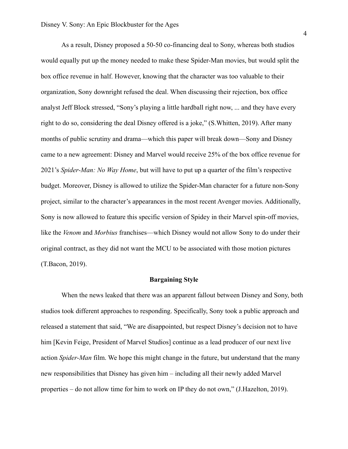As a result, Disney proposed a 50-50 co-financing deal to Sony, whereas both studios would equally put up the money needed to make these Spider-Man movies, but would split the box office revenue in half. However, knowing that the character was too valuable to their organization, Sony downright refused the deal. When discussing their rejection, box office analyst Jeff Block stressed, "Sony's playing a little hardball right now, ... and they have every right to do so, considering the deal Disney offered is a joke," (S.Whitten, 2019). After many months of public scrutiny and drama—which this paper will break down—Sony and Disney came to a new agreement: Disney and Marvel would receive 25% of the box office revenue for 2021's *Spider-Man: No Way Home*, but will have to put up a quarter of the film's respective budget. Moreover, Disney is allowed to utilize the Spider-Man character for a future non-Sony project, similar to the character's appearances in the most recent Avenger movies. Additionally, Sony is now allowed to feature this specific version of Spidey in their Marvel spin-off movies, like the *Venom* and *Morbius* franchises—which Disney would not allow Sony to do under their original contract, as they did not want the MCU to be associated with those motion pictures (T.Bacon, 2019).

#### **Bargaining Style**

When the news leaked that there was an apparent fallout between Disney and Sony, both studios took different approaches to responding. Specifically, Sony took a public approach and released a statement that said, "We are disappointed, but respect Disney's decision not to have him [Kevin Feige, President of Marvel Studios] continue as a lead producer of our next live action *Spider-Man* film. We hope this might change in the future, but understand that the many new responsibilities that Disney has given him – including all their newly added Marvel properties – do not allow time for him to work on IP they do not own," (J.Hazelton, 2019).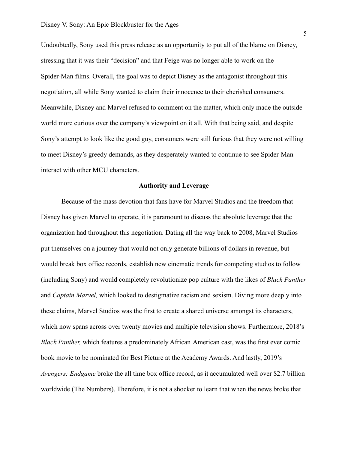Undoubtedly, Sony used this press release as an opportunity to put all of the blame on Disney, stressing that it was their "decision" and that Feige was no longer able to work on the Spider-Man films. Overall, the goal was to depict Disney as the antagonist throughout this negotiation, all while Sony wanted to claim their innocence to their cherished consumers. Meanwhile, Disney and Marvel refused to comment on the matter, which only made the outside world more curious over the company's viewpoint on it all. With that being said, and despite Sony's attempt to look like the good guy, consumers were still furious that they were not willing to meet Disney's greedy demands, as they desperately wanted to continue to see Spider-Man interact with other MCU characters.

### **Authority and Leverage**

Because of the mass devotion that fans have for Marvel Studios and the freedom that Disney has given Marvel to operate, it is paramount to discuss the absolute leverage that the organization had throughout this negotiation. Dating all the way back to 2008, Marvel Studios put themselves on a journey that would not only generate billions of dollars in revenue, but would break box office records, establish new cinematic trends for competing studios to follow (including Sony) and would completely revolutionize pop culture with the likes of *Black Panther* and *Captain Marvel,* which looked to destigmatize racism and sexism. Diving more deeply into these claims, Marvel Studios was the first to create a shared universe amongst its characters, which now spans across over twenty movies and multiple television shows. Furthermore, 2018's *Black Panther,* which features a predominately African American cast, was the first ever comic book movie to be nominated for Best Picture at the Academy Awards. And lastly, 2019's *Avengers: Endgame* broke the all time box office record, as it accumulated well over \$2.7 billion worldwide (The Numbers). Therefore, it is not a shocker to learn that when the news broke that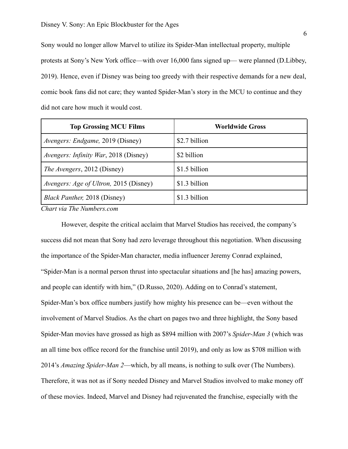Sony would no longer allow Marvel to utilize its Spider-Man intellectual property, multiple protests at Sony's New York office—with over 16,000 fans signed up— were planned (D.Libbey, 2019). Hence, even if Disney was being too greedy with their respective demands for a new deal, comic book fans did not care; they wanted Spider-Man's story in the MCU to continue and they did not care how much it would cost.

| <b>Top Grossing MCU Films</b>                 | <b>Worldwide Gross</b> |
|-----------------------------------------------|------------------------|
| <i>Avengers: Endgame, 2019 (Disney)</i>       | \$2.7 billion          |
| <i>Avengers: Infinity War</i> , 2018 (Disney) | \$2 billion            |
| <i>The Avengers</i> , 2012 (Disney)           | \$1.5 billion          |
| <i>Avengers: Age of Ultron, 2015 (Disney)</i> | \$1.3 billion          |
| <i>Black Panther</i> , 2018 (Disney)          | \$1.3 billion          |

*Chart via The Numbers.com*

However, despite the critical acclaim that Marvel Studios has received, the company's success did not mean that Sony had zero leverage throughout this negotiation. When discussing the importance of the Spider-Man character, media influencer Jeremy Conrad explained, "Spider-Man is a normal person thrust into spectacular situations and [he has] amazing powers, and people can identify with him," (D.Russo, 2020). Adding on to Conrad's statement, Spider-Man's box office numbers justify how mighty his presence can be—even without the involvement of Marvel Studios. As the chart on pages two and three highlight, the Sony based Spider-Man movies have grossed as high as \$894 million with 2007's *Spider-Man 3* (which was an all time box office record for the franchise until 2019), and only as low as \$708 million with 2014's *Amazing Spider-Man 2*—which, by all means, is nothing to sulk over (The Numbers). Therefore, it was not as if Sony needed Disney and Marvel Studios involved to make money off of these movies. Indeed, Marvel and Disney had rejuvenated the franchise, especially with the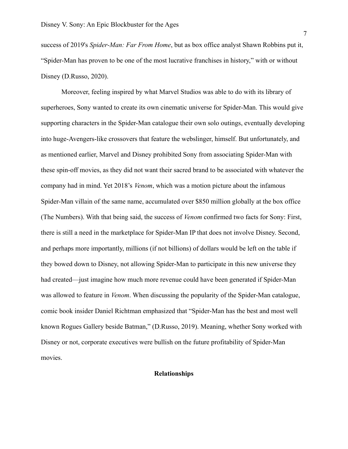success of 2019's *Spider-Man: Far From Home*, but as box office analyst Shawn Robbins put it, "Spider-Man has proven to be one of the most lucrative franchises in history," with or without Disney (D.Russo, 2020).

Moreover, feeling inspired by what Marvel Studios was able to do with its library of superheroes, Sony wanted to create its own cinematic universe for Spider-Man. This would give supporting characters in the Spider-Man catalogue their own solo outings, eventually developing into huge-Avengers-like crossovers that feature the webslinger, himself. But unfortunately, and as mentioned earlier, Marvel and Disney prohibited Sony from associating Spider-Man with these spin-off movies, as they did not want their sacred brand to be associated with whatever the company had in mind. Yet 2018's *Venom*, which was a motion picture about the infamous Spider-Man villain of the same name, accumulated over \$850 million globally at the box office (The Numbers). With that being said, the success of *Venom* confirmed two facts for Sony: First, there is still a need in the marketplace for Spider-Man IP that does not involve Disney. Second, and perhaps more importantly, millions (if not billions) of dollars would be left on the table if they bowed down to Disney, not allowing Spider-Man to participate in this new universe they had created—just imagine how much more revenue could have been generated if Spider-Man was allowed to feature in *Venom*. When discussing the popularity of the Spider-Man catalogue, comic book insider Daniel Richtman emphasized that "Spider-Man has the best and most well known Rogues Gallery beside Batman," (D.Russo, 2019). Meaning, whether Sony worked with Disney or not, corporate executives were bullish on the future profitability of Spider-Man movies.

## **Relationships**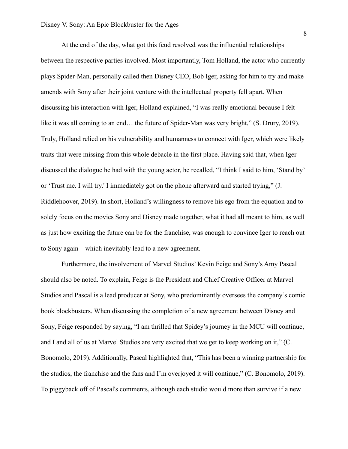At the end of the day, what got this feud resolved was the influential relationships between the respective parties involved. Most importantly, Tom Holland, the actor who currently plays Spider-Man, personally called then Disney CEO, Bob Iger, asking for him to try and make amends with Sony after their joint venture with the intellectual property fell apart. When discussing his interaction with Iger, Holland explained, "I was really emotional because I felt like it was all coming to an end... the future of Spider-Man was very bright," (S. Drury, 2019). Truly, Holland relied on his vulnerability and humanness to connect with Iger, which were likely traits that were missing from this whole debacle in the first place. Having said that, when Iger discussed the dialogue he had with the young actor, he recalled, "I think I said to him, 'Stand by' or 'Trust me. I will try.' I immediately got on the phone afterward and started trying," (J. Riddlehoover, 2019). In short, Holland's willingness to remove his ego from the equation and to solely focus on the movies Sony and Disney made together, what it had all meant to him, as well as just how exciting the future can be for the franchise, was enough to convince Iger to reach out to Sony again—which inevitably lead to a new agreement.

Furthermore, the involvement of Marvel Studios' Kevin Feige and Sony's Amy Pascal should also be noted. To explain, Feige is the President and Chief Creative Officer at Marvel Studios and Pascal is a lead producer at Sony, who predominantly oversees the company's comic book blockbusters. When discussing the completion of a new agreement between Disney and Sony, Feige responded by saying, "I am thrilled that Spidey's journey in the MCU will continue, and I and all of us at Marvel Studios are very excited that we get to keep working on it," (C. Bonomolo, 2019). Additionally, Pascal highlighted that, "This has been a winning partnership for the studios, the franchise and the fans and I'm overjoyed it will continue," (C. Bonomolo, 2019). To piggyback off of Pascal's comments, although each studio would more than survive if a new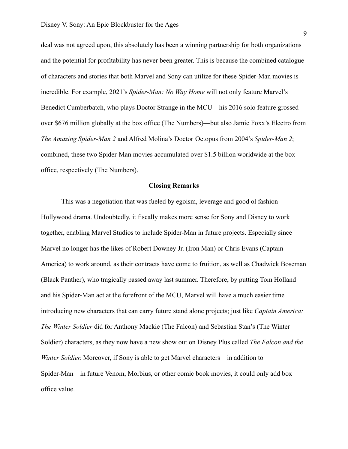deal was not agreed upon, this absolutely has been a winning partnership for both organizations and the potential for profitability has never been greater. This is because the combined catalogue of characters and stories that both Marvel and Sony can utilize for these Spider-Man movies is incredible. For example, 2021's *Spider-Man: No Way Home* will not only feature Marvel's Benedict Cumberbatch, who plays Doctor Strange in the MCU—his 2016 solo feature grossed over \$676 million globally at the box office (The Numbers)—but also Jamie Foxx's Electro from *The Amazing Spider-Man 2* and Alfred Molina's Doctor Octopus from 2004's *Spider-Man 2*; combined, these two Spider-Man movies accumulated over \$1.5 billion worldwide at the box office, respectively (The Numbers).

#### **Closing Remarks**

This was a negotiation that was fueled by egoism, leverage and good ol fashion Hollywood drama. Undoubtedly, it fiscally makes more sense for Sony and Disney to work together, enabling Marvel Studios to include Spider-Man in future projects. Especially since Marvel no longer has the likes of Robert Downey Jr. (Iron Man) or Chris Evans (Captain America) to work around, as their contracts have come to fruition, as well as Chadwick Boseman (Black Panther), who tragically passed away last summer. Therefore, by putting Tom Holland and his Spider-Man act at the forefront of the MCU, Marvel will have a much easier time introducing new characters that can carry future stand alone projects; just like *Captain America: The Winter Soldier* did for Anthony Mackie (The Falcon) and Sebastian Stan's (The Winter Soldier) characters, as they now have a new show out on Disney Plus called *The Falcon and the Winter Soldier.* Moreover, if Sony is able to get Marvel characters—in addition to Spider-Man—in future Venom, Morbius, or other comic book movies, it could only add box office value.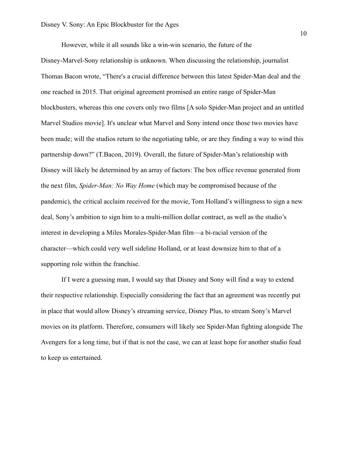However, while it all sounds like a win-win scenario, the future of the

Disney-Marvel-Sony relationship is unknown. When discussing the relationship, journalist Thomas Bacon wrote, "There's a crucial difference between this latest Spider-Man deal and the one reached in 2015. That original agreement promised an entire range of Spider-Man blockbusters, whereas this one covers only two films [A solo Spider-Man project and an untitled Marvel Studios movie]. It's unclear what Marvel and Sony intend once those two movies have been made; will the studios return to the negotiating table, or are they finding a way to wind this partnership down?" (T.Bacon, 2019). Overall, the future of Spider-Man's relationship with Disney will likely be determined by an array of factors: The box office revenue generated from the next film, *Spider-Man: No Way Home* (which may be compromised because of the pandemic), the critical acclaim received for the movie, Tom Holland's willingness to sign a new deal, Sony's ambition to sign him to a multi-million dollar contract, as well as the studio's interest in developing a Miles Morales-Spider-Man film—a bi-racial version of the character—which could very well sideline Holland, or at least downsize him to that of a supporting role within the franchise.

If I were a guessing man, I would say that Disney and Sony will find a way to extend their respective relationship. Especially considering the fact that an agreement was recently put in place that would allow Disney's streaming service, Disney Plus, to stream Sony's Marvel movies on its platform. Therefore, consumers will likely see Spider-Man fighting alongside The Avengers for a long time, but if that is not the case, we can at least hope for another studio feud to keep us entertained.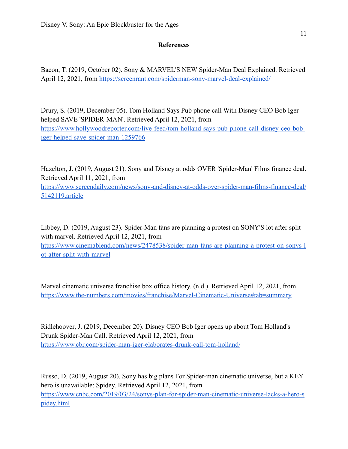# **References**

Bacon, T. (2019, October 02). Sony & MARVEL'S NEW Spider-Man Deal Explained. Retrieved April 12, 2021, from <https://screenrant.com/spiderman-sony-marvel-deal-explained/>

Drury, S. (2019, December 05). Tom Holland Says Pub phone call With Disney CEO Bob Iger helped SAVE 'SPIDER-MAN'. Retrieved April 12, 2021, from [https://www.hollywoodreporter.com/live-feed/tom-holland-says-pub-phone-call-disney-ceo-bob](https://www.hollywoodreporter.com/live-feed/tom-holland-says-pub-phone-call-disney-ceo-bob-iger-helped-save-spider-man-1259766)[iger-helped-save-spider-man-1259766](https://www.hollywoodreporter.com/live-feed/tom-holland-says-pub-phone-call-disney-ceo-bob-iger-helped-save-spider-man-1259766)

Hazelton, J. (2019, August 21). Sony and Disney at odds OVER 'Spider-Man' Films finance deal. Retrieved April 11, 2021, from [https://www.screendaily.com/news/sony-and-disney-at-odds-over-spider-man-films-finance-deal/](https://www.screendaily.com/news/sony-and-disney-at-odds-over-spider-man-films-finance-deal/5142119.article) [5142119.article](https://www.screendaily.com/news/sony-and-disney-at-odds-over-spider-man-films-finance-deal/5142119.article)

Libbey, D. (2019, August 23). Spider-Man fans are planning a protest on SONY'S lot after split with marvel. Retrieved April 12, 2021, from [https://www.cinemablend.com/news/2478538/spider-man-fans-are-planning-a-protest-on-sonys-l](https://www.cinemablend.com/news/2478538/spider-man-fans-are-planning-a-protest-on-sonys-lot-after-split-with-marvel) [ot-after-split-with-marvel](https://www.cinemablend.com/news/2478538/spider-man-fans-are-planning-a-protest-on-sonys-lot-after-split-with-marvel)

Marvel cinematic universe franchise box office history. (n.d.). Retrieved April 12, 2021, from <https://www.the-numbers.com/movies/franchise/Marvel-Cinematic-Universe#tab=summary>

Ridlehoover, J. (2019, December 20). Disney CEO Bob Iger opens up about Tom Holland's Drunk Spider-Man Call. Retrieved April 12, 2021, from <https://www.cbr.com/spider-man-iger-elaborates-drunk-call-tom-holland/>

Russo, D. (2019, August 20). Sony has big plans For Spider-man cinematic universe, but a KEY hero is unavailable: Spidey. Retrieved April 12, 2021, from [https://www.cnbc.com/2019/03/24/sonys-plan-for-spider-man-cinematic-universe-lacks-a-hero-s](https://www.cnbc.com/2019/03/24/sonys-plan-for-spider-man-cinematic-universe-lacks-a-hero-spidey.html) [pidey.html](https://www.cnbc.com/2019/03/24/sonys-plan-for-spider-man-cinematic-universe-lacks-a-hero-spidey.html)